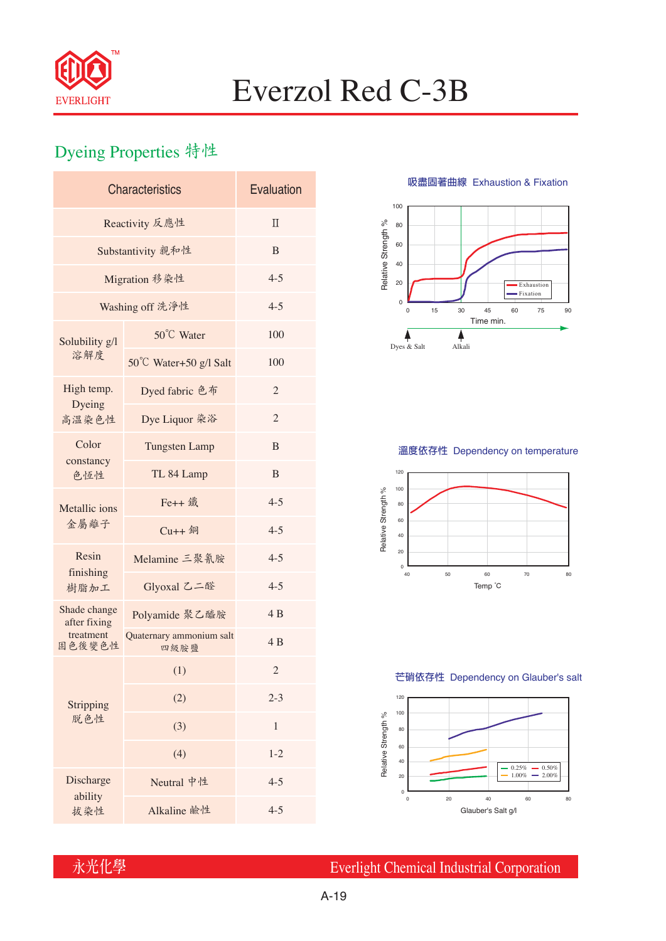

# Everzol Red C-3B

## Dyeing Properties 特性

| <b>Characteristics</b>       | Evaluation                       |                |  |  |  |
|------------------------------|----------------------------------|----------------|--|--|--|
| Reactivity 反應性               | $\Pi$                            |                |  |  |  |
| Substantivity 親和性            | B                                |                |  |  |  |
| Migration 移染性                | $4 - 5$                          |                |  |  |  |
| Washing off 洗淨性              | $4 - 5$                          |                |  |  |  |
| Solubility g/l<br>溶解度        | 50°C Water                       | 100            |  |  |  |
|                              | 50°C Water+50 g/l Salt           | 100            |  |  |  |
| High temp.                   | Dyed fabric 色布                   | $\overline{2}$ |  |  |  |
| Dyeing<br>高溫染色性              | Dye Liquor 染浴                    | $\overline{2}$ |  |  |  |
| Color<br>constancy<br>色恆性    | <b>Tungsten Lamp</b>             | B              |  |  |  |
|                              | TL 84 Lamp                       | B              |  |  |  |
| Metallic ions<br>金屬離子        | Fe++ 鐵                           | $4 - 5$        |  |  |  |
|                              | $Cu++4$                          | $4 - 5$        |  |  |  |
| Resin<br>finishing<br>樹脂加工   | Melamine 三聚氰胺                    | $4 - 5$        |  |  |  |
|                              | Glyoxal 乙二醛                      | $4 - 5$        |  |  |  |
| Shade change<br>after fixing | Polyamide 聚乙醯胺                   | 4B             |  |  |  |
| treatment<br>固色後變色性          | Quaternary ammonium salt<br>四級胺鹽 | 4 B            |  |  |  |
|                              | (1)                              | $\overline{c}$ |  |  |  |
| Stripping<br>脱色性             | (2)                              | $2 - 3$        |  |  |  |
|                              | (3)                              | 1              |  |  |  |
|                              | (4)                              | $1 - 2$        |  |  |  |
| Discharge<br>ability         | Neutral 中性                       | $4 - 5$        |  |  |  |
| 拔染性                          | Alkaline 鹼性                      | $4 - 5$        |  |  |  |

**吸盡固著曲線** Exhaustion & Fixation



### **溫度依存性** Dependency on temperature



#### **芒硝依存性** Dependency on Glauber's salt